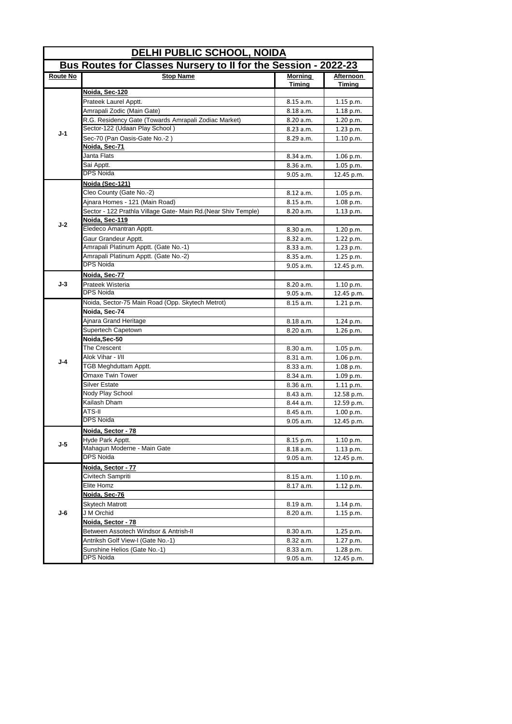| <u>DELHI PUBLIC SCHOOL, NOIDA</u> |                                                                |                   |                            |  |  |
|-----------------------------------|----------------------------------------------------------------|-------------------|----------------------------|--|--|
|                                   | Bus Routes for Classes Nursery to II for the Session - 2022-23 |                   |                            |  |  |
| Route No                          | <b>Stop Name</b>                                               | Morning<br>Timing | Afternoon<br><b>Timing</b> |  |  |
|                                   | Noida, Sec-120                                                 |                   |                            |  |  |
|                                   | Prateek Laurel Apptt.                                          | 8.15 a.m.         | $1.15$ p.m.                |  |  |
|                                   | Amrapali Zodic (Main Gate)                                     | 8.18 a.m.         | 1.18 p.m.                  |  |  |
|                                   | R.G. Residency Gate (Towards Amrapali Zodiac Market)           | 8.20 a.m.         | 1.20 p.m.                  |  |  |
|                                   | Sector-122 (Udaan Play School)                                 | 8.23 a.m.         | 1.23 p.m.                  |  |  |
| $J-1$                             | Sec-70 (Pan Oasis-Gate No.-2)                                  | 8.29 a.m.         | 1.10 p.m.                  |  |  |
|                                   | Noida, Sec-71                                                  |                   |                            |  |  |
|                                   | Janta Flats                                                    | 8.34 a.m.         | $1.06$ p.m.                |  |  |
|                                   | Sai Apptt.                                                     | 8.36 a.m.         | 1.05 p.m.                  |  |  |
|                                   | <b>DPS Noida</b>                                               | 9.05 a.m.         | 12.45 p.m.                 |  |  |
|                                   | <u>Noida (Sec-121)</u>                                         |                   |                            |  |  |
|                                   | Cleo County (Gate No.-2)                                       | 8.12 a.m.         | 1.05 p.m.                  |  |  |
|                                   | Ajnara Homes - 121 (Main Road)                                 | 8.15 a.m.         | $1.08$ p.m.                |  |  |
|                                   | Sector - 122 Prathla Village Gate- Main Rd.(Near Shiv Temple)  | 8.20 a.m.         | $1.13$ p.m.                |  |  |
| J-2                               | Noida, Sec-119                                                 |                   |                            |  |  |
|                                   | Eledeco Amantran Apptt.                                        | 8.30 a.m.         | 1.20 p.m.                  |  |  |
|                                   | Gaur Grandeur Apptt.                                           | 8.32 a.m.         | 1.22 p.m.                  |  |  |
|                                   | Amrapali Platinum Apptt. (Gate No.-1)                          | 8.33 a.m.         | 1.23 p.m.                  |  |  |
|                                   | Amrapali Platinum Apptt. (Gate No.-2)                          | 8.35 a.m.         | $1.25$ p.m.                |  |  |
|                                   | <b>DPS Noida</b>                                               | 9.05 a.m.         | 12.45 p.m.                 |  |  |
|                                   | Noida, Sec-77                                                  |                   |                            |  |  |
| J-3                               | Prateek Wisteria                                               | 8.20 a.m.         | 1.10 p.m.                  |  |  |
|                                   | <b>DPS Noida</b>                                               | 9.05 a.m.         | 12.45 p.m.                 |  |  |
|                                   | Noida, Sector-75 Main Road (Opp. Skytech Metrot)               | 8.15 a.m.         | 1.21 p.m.                  |  |  |
|                                   | Noida, Sec-74                                                  |                   |                            |  |  |
|                                   | Ajnara Grand Heritage                                          | 8.18 a.m.         | 1.24 p.m.                  |  |  |
|                                   | Supertech Capetown                                             | 8.20 a.m.         | 1.26 p.m.                  |  |  |
|                                   | Noida, Sec-50                                                  |                   |                            |  |  |
|                                   | The Crescent                                                   | 8.30 a.m.         | $1.05$ p.m.                |  |  |
| <b>J-4</b>                        | Alok Vihar - I/II                                              | 8.31 a.m.         | $1.06$ p.m.                |  |  |
|                                   | TGB Meghduttam Apptt.                                          | 8.33 a.m.         | $1.08$ p.m.                |  |  |
|                                   | Omaxe Twin Tower                                               | 8.34 a.m.         | $1.09$ p.m.                |  |  |
|                                   | Silver Estate                                                  | 8.36 a.m.         | 1.11 p.m.                  |  |  |
|                                   | Nody Play School                                               | 8.43 a.m.         | 12.58 p.m.                 |  |  |
|                                   | Kailash Dham                                                   | 8.44 a.m.         | 12.59 p.m.                 |  |  |
|                                   | ATS-II                                                         | 8.45 a.m.         | 1.00 p.m.                  |  |  |
|                                   | <b>DPS Noida</b>                                               | 9.05 a.m.         | 12.45 p.m.                 |  |  |
|                                   | Noida. Sector - 78                                             |                   |                            |  |  |
| J-5                               | Hyde Park Apptt.                                               | 8.15 p.m.         | 1.10 p.m.                  |  |  |
|                                   | Mahagun Moderne - Main Gate                                    | 8.18 a.m.         | 1.13 p.m.                  |  |  |
|                                   | <b>DPS Noida</b>                                               | 9.05 a.m.         | 12.45 p.m.                 |  |  |
|                                   | Noida, Sector - 77                                             |                   |                            |  |  |
|                                   | Civitech Sampriti                                              | 8.15 a.m.         | 1.10 p.m.                  |  |  |
|                                   | Elite Homz                                                     | 8.17 a.m.         | 1.12 p.m.                  |  |  |
|                                   | Noida, Sec-76                                                  |                   |                            |  |  |
| J-6                               | Skytech Matrott                                                | 8.19 a.m.         | 1.14 p.m.                  |  |  |
|                                   | J M Orchid                                                     | 8.20 a.m.         | 1.15 p.m.                  |  |  |
|                                   | Noida, Sector - 78                                             |                   |                            |  |  |
|                                   | Between Assotech Windsor & Antrish-II                          | 8.30 a.m.         | 1.25 p.m.                  |  |  |
|                                   | Antriksh Golf View-I (Gate No.-1)                              | 8.32 a.m.         | 1.27 p.m.                  |  |  |
|                                   | Sunshine Helios (Gate No.-1)                                   | 8.33 a.m.         | 1.28 p.m.                  |  |  |
|                                   | DPS Noida                                                      | 9.05 a.m.         | 12.45 p.m.                 |  |  |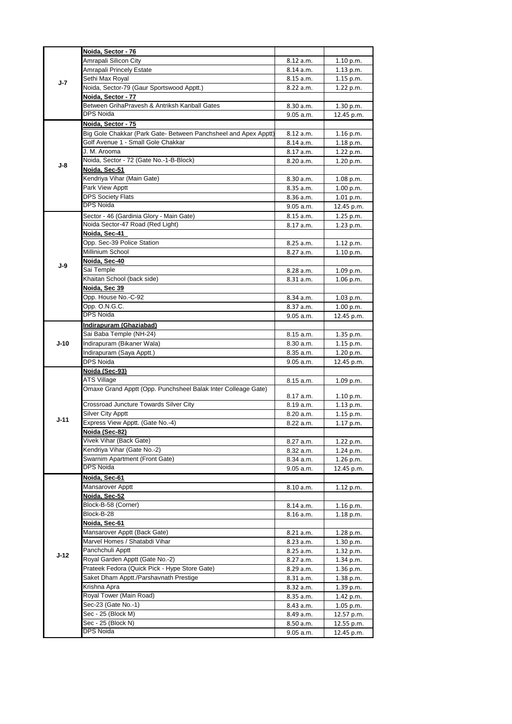| J-7    | Noida, Sector - 76                                              |                        |                          |
|--------|-----------------------------------------------------------------|------------------------|--------------------------|
|        | Amrapali Silicon City                                           | 8.12 a.m.              | 1.10 p.m.                |
|        | Amrapali Princely Estate                                        | 8.14 a.m.              | $1.13$ p.m.              |
|        | Sethi Max Royal                                                 | 8.15 a.m.              | 1.15 p.m.                |
|        | Noida, Sector-79 (Gaur Sportswood Apptt.)                       | 8.22 a.m.              | 1.22 p.m.                |
|        | Noida, Sector - 77                                              |                        |                          |
|        | Between GrihaPravesh & Antriksh Kanball Gates                   | 8.30 a.m.              | 1.30 p.m.                |
|        | DPS Noida                                                       | 9.05 a.m.              | 12.45 p.m.               |
|        | Noida, Sector - 75                                              |                        |                          |
|        | Big Gole Chakkar (Park Gate- Between Panchsheel and Apex Apptt) | 8.12 a.m.              | 1.16 p.m.                |
|        | Golf Avenue 1 - Small Gole Chakkar                              | 8.14 a.m.              | 1.18 p.m.                |
|        | J. M. Arooma                                                    | 8.17 a.m.              | 1.22 p.m.                |
|        | Noida, Sector - 72 (Gate No.-1-B-Block)                         | 8.20 a.m.              | 1.20 p.m.                |
| J-8    | Noida, Sec-51                                                   |                        |                          |
|        | Kendriya Vihar (Main Gate)                                      |                        |                          |
|        | Park View Apptt                                                 | 8.30 a.m.              | 1.08 p.m.                |
|        | <b>DPS Society Flats</b>                                        | 8.35 a.m.              | 1.00 p.m.                |
|        | <b>DPS Noida</b>                                                | 8.36 a.m.              | 1.01 p.m.                |
|        |                                                                 | 9.05 a.m.              | 12.45 p.m.               |
|        | Sector - 46 (Gardinia Glory - Main Gate)                        | 8.15 a.m.              | 1.25 p.m.                |
|        | Noida Sector-47 Road (Red Light)                                | 8.17 a.m.              | $1.23$ p.m.              |
|        | Noida, Sec-41                                                   |                        |                          |
|        | Opp. Sec-39 Police Station                                      | 8.25 a.m.              | 1.12 p.m.                |
|        | Millinium School                                                | 8.27 a.m.              | 1.10 p.m.                |
| J-9    | Noida, Sec-40                                                   |                        |                          |
|        | Sai Temple                                                      | 8.28 a.m.              | 1.09 p.m.                |
|        | Khaitan School (back side)                                      | 8.31 a.m.              | $1.06$ p.m.              |
|        | Noida, Sec 39                                                   |                        |                          |
|        | Opp. House No.-C-92                                             | 8.34 a.m.              | 1.03 p.m.                |
|        | Opp. O.N.G.C.                                                   | 8.37 a.m.              | 1.00 p.m.                |
|        | <b>DPS Noida</b>                                                | 9.05 a.m.              | 12.45 p.m.               |
|        | Indirapuram (Ghaziabad)                                         |                        |                          |
|        | Sai Baba Temple (NH-24)                                         | 8.15 a.m.              | 1.35 p.m.                |
| $J-10$ | Indirapuram (Bikaner Wala)                                      | 8.30 a.m.              | $1.15$ p.m.              |
|        | Indirapuram (Saya Apptt.)                                       | 8.35 a.m.              | 1.20 p.m.                |
|        | <b>DPS Noida</b>                                                | 9.05 a.m.              | 12.45 p.m.               |
|        |                                                                 |                        |                          |
|        | Noida (Sec-93)                                                  |                        |                          |
|        | ATS Village                                                     |                        |                          |
|        |                                                                 | 8.15 a.m.              | 1.09 p.m.                |
|        | Omaxe Grand Apptt (Opp. Punchsheel Balak Inter Colleage Gate)   | 8.17 a.m.              | 1.10 p.m.                |
|        | Crossroad Juncture Towards Silver City                          | 8.19 a.m.              | $1.13$ p.m.              |
|        | <b>Silver City Apptt</b>                                        | 8.20 a.m.              | 1.15 p.m.                |
| J-11   | Express View Apptt. (Gate No.-4)                                | 8.22 a.m.              | 1.17 p.m.                |
|        | Noida (Sec-82)                                                  |                        |                          |
|        | Vivek Vihar (Back Gate)                                         | 8.27 a.m.              | 1.22 p.m.                |
|        | Kendriya Vihar (Gate No.-2)                                     |                        | 1.24 p.m.                |
|        | Swarnim Apartment (Front Gate)                                  | 8.32 a.m.              | $1.26$ p.m.              |
|        | DPS Noida                                                       | 8.34 a.m.<br>9.05 a.m. | 12.45 p.m.               |
|        | <u>Noida, Sec-61</u>                                            |                        |                          |
|        | <b>Mansarover Apptt</b>                                         |                        |                          |
|        |                                                                 | 8.10 a.m.              | 1.12 p.m.                |
|        | <u>Noida, Sec-52</u>                                            |                        |                          |
|        | Block-B-58 (Corner)                                             | 8.14 a.m.              | $1.16$ p.m.              |
|        | Block-B-28                                                      | 8.16 a.m.              | 1.18 p.m.                |
|        | Noida, Sec-61                                                   |                        |                          |
|        | Mansarover Apptt (Back Gate)                                    | 8.21 a.m.              | 1.28 p.m.                |
|        | Marvel Homes / Shatabdi Vihar                                   | 8.23 a.m.              | 1.30 p.m.                |
| $J-12$ | Panchchuli Apptt                                                | 8.25 a.m.              | 1.32 p.m.                |
|        | Royal Garden Apptt (Gate No.-2)                                 | 8.27 a.m.              | 1.34 p.m.                |
|        | Prateek Fedora (Quick Pick - Hype Store Gate)                   | 8.29 a.m.              | 1.36 p.m.                |
|        | Saket Dham Apptt /Parshavnath Prestige                          | 8.31 a.m.              | 1.38 p.m.                |
|        | Krishna Apra                                                    | 8.32 a.m.              | 1.39 p.m.                |
|        | Royal Tower (Main Road)                                         | 8.35 a.m.              | 1.42 p.m.                |
|        | Sec-23 (Gate No.-1)                                             | 8.43 a.m.              | $1.05$ p.m.              |
|        | Sec - 25 (Block M)                                              | 8.49 a.m.              | 12.57 p.m.               |
|        | Sec - 25 (Block N)<br>DPS Noida                                 | 8.50 a.m.<br>9.05 a.m. | 12.55 p.m.<br>12.45 p.m. |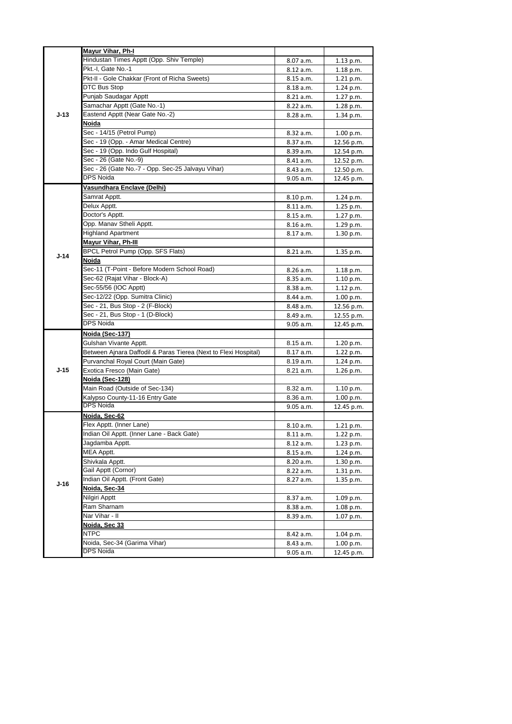|        | Mayur Vihar, Ph-I                                               |           |                        |
|--------|-----------------------------------------------------------------|-----------|------------------------|
|        | Hindustan Times Apptt (Opp. Shiv Temple)                        | 8.07 a.m. | 1.13 p.m.              |
|        | Pkt.-I. Gate No.-1                                              | 8.12 a.m. | $1.18$ p.m.            |
|        | Pkt-II - Gole Chakkar (Front of Richa Sweets)                   | 8.15 a.m. | 1.21 p.m.              |
|        | DTC Bus Stop                                                    | 8.18 a.m. | $1.24$ p.m.            |
|        | Punjab Saudagar Apptt                                           | 8.21 a.m. | 1.27 p.m.              |
|        | Samachar Apptt (Gate No.-1)                                     | 8.22 a.m. | $1.28$ p.m.            |
| $J-13$ | Eastend Apptt (Near Gate No.-2)                                 | 8.28 a.m. | 1.34 p.m.              |
|        | <u>Noida</u>                                                    |           |                        |
|        | Sec - 14/15 (Petrol Pump)                                       | 8.32 a.m. | 1.00 p.m.              |
|        | Sec - 19 (Opp. - Amar Medical Centre)                           | 8.37 a.m. | 12.56 p.m.             |
|        | Sec - 19 (Opp. Indo Gulf Hospital)                              | 8.39 a.m. | 12.54 p.m.             |
|        | Sec - 26 (Gate No.-9)                                           | 8.41 a.m. | 12.52 p.m.             |
|        | Sec - 26 (Gate No.-7 - Opp. Sec-25 Jalvayu Vihar)               | 8.43 a.m. | 12.50 p.m.             |
|        | <b>DPS Noida</b>                                                | 9.05 a.m. | 12.45 p.m.             |
|        | Vasundhara Enclave (Delhi)                                      |           |                        |
|        | Samrat Apptt.                                                   | 8.10 p.m. | 1.24 p.m.              |
|        | Delux Apptt.                                                    | 8.11 a.m. | $1.25$ p.m.            |
|        | Doctor's Apptt.                                                 | 8.15 a.m. |                        |
|        | Opp. Manav Stheli Apptt.                                        | 8.16 a.m. | 1.27 p.m.<br>1.29 p.m. |
|        | <b>Highland Apartment</b>                                       | 8.17 a.m. | 1.30 p.m.              |
|        | Mayur Vihar, Ph-III                                             |           |                        |
|        | BPCL Petrol Pump (Opp. SFS Flats)                               | 8.21 a.m. | 1.35 p.m.              |
| $J-14$ | Noida                                                           |           |                        |
|        | Sec-11 (T-Point - Before Modern School Road)                    | 8.26 a.m. | $1.18$ p.m.            |
|        | Sec-62 (Rajat Vihar - Block-A)                                  | 8.35 a.m. | 1.10 p.m.              |
|        | Sec-55/56 (IOC Apptt)                                           | 8.38 a.m. | 1.12 p.m.              |
|        | Sec-12/22 (Opp. Sumitra Clinic)                                 | 8.44 a.m. | 1.00 p.m.              |
|        | Sec - 21, Bus Stop - 2 (F-Block)                                | 8.48 a.m. | 12.56 p.m.             |
|        | Sec - 21, Bus Stop - 1 (D-Block)                                | 8.49 a.m. | 12.55 p.m.             |
|        | <b>DPS Noida</b>                                                | 9.05 a.m. | 12.45 p.m.             |
|        | Noida (Sec-137)                                                 |           |                        |
|        | Gulshan Vivante Apptt.                                          | 8.15 a.m. | 1.20 p.m.              |
|        | Between Ajnara Daffodil & Paras Tierea (Next to Flexi Hospital) | 8.17 a.m. | 1.22 p.m.              |
|        | Purvanchal Royal Court (Main Gate)                              | 8.19 a.m. | $1.24$ p.m.            |
| $J-15$ | Exotica Fresco (Main Gate)                                      | 8.21 a.m. | 1.26 p.m.              |
|        | Noida (Sec-128)                                                 |           |                        |
|        | Main Road (Outside of Sec-134)                                  | 8.32 a.m. | 1.10 p.m.              |
|        |                                                                 | 8.36 a.m. | 1.00 p.m.              |
|        | Kalypso County-11-16 Entry Gate<br>DPS Noida                    | 9.05 a.m. |                        |
|        | Noida, Sec-62                                                   |           | 12.45 p.m.             |
|        | Flex Apptt. (Inner Lane)                                        | 8.10 a.m. |                        |
|        | Indian Oil Apptt. (Inner Lane - Back Gate)                      |           | 1.21 p.m.              |
|        | Jagdamba Apptt.                                                 | 8.11 a.m. | 1.22 p.m.              |
|        | MEA Apptt.                                                      | 8.12 a.m. | 1.23 p.m.              |
|        |                                                                 | 8.15 a.m. | 1.24 p.m.              |
|        | Shivkala Apptt.                                                 | 8.20 a.m. | 1.30 p.m.              |
|        | Gail Apptt (Cornor)                                             | 8.22 a.m. | 1.31 p.m.              |
| J-16   | Indian Oil Apptt. (Front Gate)<br>Noida, Sec-34                 | 8.27 a.m. | 1.35 p.m.              |
|        | Nilgiri Apptt                                                   |           |                        |
|        | Ram Sharnam                                                     | 8.37 a.m. | 1.09 p.m.              |
|        | Nar Vihar - II                                                  | 8.38 a.m. | 1.08 p.m.              |
|        | Noida, Sec 33                                                   | 8.39 a.m. | 1.07 p.m.              |
|        |                                                                 |           |                        |
|        | NTPC<br>Noida, Sec-34 (Garima Vihar)                            | 8.42 a.m. | 1.04 p.m.              |
|        | <b>DPS Noida</b>                                                | 8.43 a.m. | 1.00 p.m.              |
|        |                                                                 | 9.05 a.m. | 12.45 p.m.             |